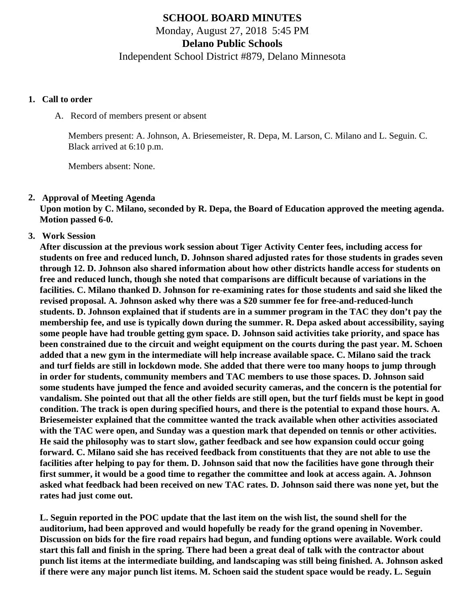# **SCHOOL BOARD MINUTES** Monday, August 27, 2018 5:45 PM

**Delano Public Schools**

Independent School District #879, Delano Minnesota

#### **1. Call to order**

A. Record of members present or absent

Members present: A. Johnson, A. Briesemeister, R. Depa, M. Larson, C. Milano and L. Seguin. C. Black arrived at 6:10 p.m.

Members absent: None.

#### **2. Approval of Meeting Agenda**

**Upon motion by C. Milano, seconded by R. Depa, the Board of Education approved the meeting agenda. Motion passed 6-0.**

**3. Work Session**

**After discussion at the previous work session about Tiger Activity Center fees, including access for students on free and reduced lunch, D. Johnson shared adjusted rates for those students in grades seven through 12. D. Johnson also shared information about how other districts handle access for students on free and reduced lunch, though she noted that comparisons are difficult because of variations in the facilities. C. Milano thanked D. Johnson for re-examining rates for those students and said she liked the revised proposal. A. Johnson asked why there was a \$20 summer fee for free-and-reduced-lunch students. D. Johnson explained that if students are in a summer program in the TAC they don't pay the membership fee, and use is typically down during the summer. R. Depa asked about accessibility, saying some people have had trouble getting gym space. D. Johnson said activities take priority, and space has been constrained due to the circuit and weight equipment on the courts during the past year. M. Schoen added that a new gym in the intermediate will help increase available space. C. Milano said the track and turf fields are still in lockdown mode. She added that there were too many hoops to jump through in order for students, community members and TAC members to use those spaces. D. Johnson said some students have jumped the fence and avoided security cameras, and the concern is the potential for vandalism. She pointed out that all the other fields are still open, but the turf fields must be kept in good condition. The track is open during specified hours, and there is the potential to expand those hours. A. Briesemeister explained that the committee wanted the track available when other activities associated with the TAC were open, and Sunday was a question mark that depended on tennis or other activities. He said the philosophy was to start slow, gather feedback and see how expansion could occur going forward. C. Milano said she has received feedback from constituents that they are not able to use the facilities after helping to pay for them. D. Johnson said that now the facilities have gone through their first summer, it would be a good time to regather the committee and look at access again. A. Johnson asked what feedback had been received on new TAC rates. D. Johnson said there was none yet, but the rates had just come out.**

**L. Seguin reported in the POC update that the last item on the wish list, the sound shell for the auditorium, had been approved and would hopefully be ready for the grand opening in November. Discussion on bids for the fire road repairs had begun, and funding options were available. Work could start this fall and finish in the spring. There had been a great deal of talk with the contractor about punch list items at the intermediate building, and landscaping was still being finished. A. Johnson asked if there were any major punch list items. M. Schoen said the student space would be ready. L. Seguin**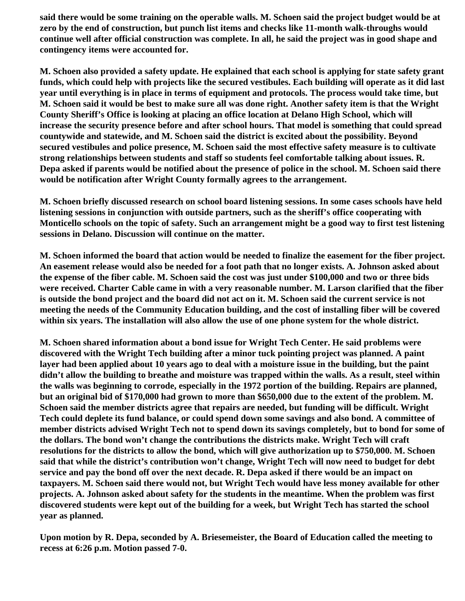**said there would be some training on the operable walls. M. Schoen said the project budget would be at zero by the end of construction, but punch list items and checks like 11-month walk-throughs would continue well after official construction was complete. In all, he said the project was in good shape and contingency items were accounted for.**

**M. Schoen also provided a safety update. He explained that each school is applying for state safety grant funds, which could help with projects like the secured vestibules. Each building will operate as it did last year until everything is in place in terms of equipment and protocols. The process would take time, but M. Schoen said it would be best to make sure all was done right. Another safety item is that the Wright County Sheriff's Office is looking at placing an office location at Delano High School, which will increase the security presence before and after school hours. That model is something that could spread countywide and statewide, and M. Schoen said the district is excited about the possibility. Beyond secured vestibules and police presence, M. Schoen said the most effective safety measure is to cultivate strong relationships between students and staff so students feel comfortable talking about issues. R. Depa asked if parents would be notified about the presence of police in the school. M. Schoen said there would be notification after Wright County formally agrees to the arrangement.**

**M. Schoen briefly discussed research on school board listening sessions. In some cases schools have held listening sessions in conjunction with outside partners, such as the sheriff's office cooperating with Monticello schools on the topic of safety. Such an arrangement might be a good way to first test listening sessions in Delano. Discussion will continue on the matter.** 

**M. Schoen informed the board that action would be needed to finalize the easement for the fiber project. An easement release would also be needed for a foot path that no longer exists. A. Johnson asked about the expense of the fiber cable. M. Schoen said the cost was just under \$100,000 and two or three bids were received. Charter Cable came in with a very reasonable number. M. Larson clarified that the fiber is outside the bond project and the board did not act on it. M. Schoen said the current service is not meeting the needs of the Community Education building, and the cost of installing fiber will be covered within six years. The installation will also allow the use of one phone system for the whole district.**

**M. Schoen shared information about a bond issue for Wright Tech Center. He said problems were discovered with the Wright Tech building after a minor tuck pointing project was planned. A paint layer had been applied about 10 years ago to deal with a moisture issue in the building, but the paint didn't allow the building to breathe and moisture was trapped within the walls. As a result, steel within the walls was beginning to corrode, especially in the 1972 portion of the building. Repairs are planned, but an original bid of \$170,000 had grown to more than \$650,000 due to the extent of the problem. M. Schoen said the member districts agree that repairs are needed, but funding will be difficult. Wright Tech could deplete its fund balance, or could spend down some savings and also bond. A committee of member districts advised Wright Tech not to spend down its savings completely, but to bond for some of the dollars. The bond won't change the contributions the districts make. Wright Tech will craft resolutions for the districts to allow the bond, which will give authorization up to \$750,000. M. Schoen said that while the district's contribution won't change, Wright Tech will now need to budget for debt service and pay the bond off over the next decade. R. Depa asked if there would be an impact on taxpayers. M. Schoen said there would not, but Wright Tech would have less money available for other projects. A. Johnson asked about safety for the students in the meantime. When the problem was first discovered students were kept out of the building for a week, but Wright Tech has started the school year as planned.**

**Upon motion by R. Depa, seconded by A. Briesemeister, the Board of Education called the meeting to recess at 6:26 p.m. Motion passed 7-0.**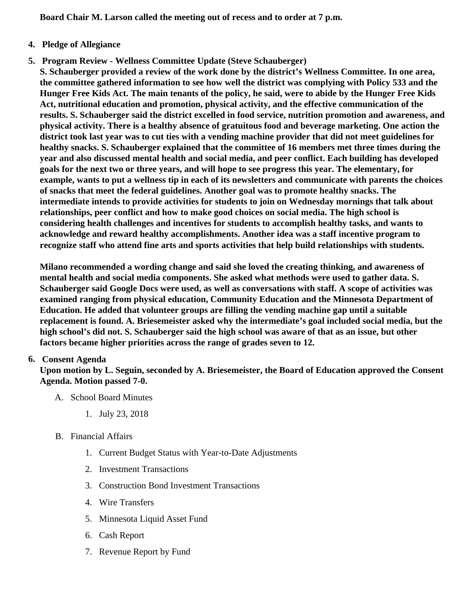Board Chair M. Larson called the meeting out of recess and to order at 7 p.m.

### 4. Pledge of Allegiance

5. Program Review - [Wellness Committee Updat](/./docs/district/2018_19/School board items/August 2018/Full_Final_2017_18_Wellness_repo.pdf)e Steve Schauberger)

S. Schauberger provided a review of the work done by the district's Wellness Committee. In one area, the committee gathered information to see how well the district was complying with Policy 533 and the Hunger Free Kids Act. The main tenants of the policy, he said, were to abide by the Hunger Free Kids Act, nutritional education and promotion, physical activity, and the effective communication of the results. S. Schauberger said the district excelled in food service, nutrition promotion and awareness, and physical activity. There is a healthy absence of gratuitous food and beverage marketing. One action the district took last year was to cut ties with a vending machine provider that did not meet guidelines for healthy snacks. S. Schauberger explained that the committee of 16 members met three times during the year and also discussed mental health and social media, and peer conflict. Each building has developed goals for the next two or three years, and will hope to see progress this year. The elementary, for example, wants to put a wellness tip in each of its newsletters and communicate with parents the choices of snacks that meet the federal guidelines. Another goal was to promote healthy snacks. The intermediate intends to provide activities for students to join on Wednesday mornings that talk about relationships, peer conflict and how to make good choices on social media. The high school is considering health challenges and incentives for students to accomplish healthy tasks, and wants to acknowledge and reward healthy accomplishments. Another idea was a staff incentive program to recognize staff who attend fine arts and sports activities that help build relationships with students.

Milano recommended a wording change and said she loved the creating thinking, and awareness of mental health and social media components. She asked what methods were used to gather data. S. Schauberger said Google Docs were used, as well as conversations with staff. A scope of activities was examined ranging from physical education, Community Education and the Minnesota Department of Education. He added that volunteer groups are filling the vending machine gap until a suitable replacement is found. A. Briesemeister asked why the intermediate's goal included social media, but the high school's did not. S. Schauberger said the high school was aware of that as an issue, but other factors became higher priorities across the range of grades seven to 12.

### 6. Consent Agenda

Upon motion by L. Seguin, seconded by A. Briesemeister, the Board of Education approved the Consent Agenda. Motion passed 7-0.

- A. School Board Minutes
	- 1. [July 23, 2018](https://www.delano.k12.mn.us/pb/app/agenda/minutes/175)
- B. Financial Affairs
	- 1. [Current Budget Status with Year-to-Date Adjustm](/./docs/district/Business_Office/Budget_Report_Aug_18.pdf)ents
	- 2. [Investment Transactio](/./docs/district/Business_Office/July_2018_Investments.pdf)ns
	- 3. [Construction Bond Investment Transacti](/./docs/district/Business_Office/Bond_Investment_schedule_July_18.pdf)ons
	- 4. [Wire Transfer](/./docs/district/Business_Office/July_2018_Wire_Transfers.pdf)s
	- 5. [Minnesota Liquid Asset Fun](/./docs/district/Business_Office/July_2018_LAF.pdf)d
	- 6. [Cash Repo](/./docs/district/Business_Office/July_2018_Cash_Report.pdf)rt
	- 7. [Revenue Report by Fu](/./docs/district/Business_Office/Rev_by_Fund  Copy 1.pdf)nd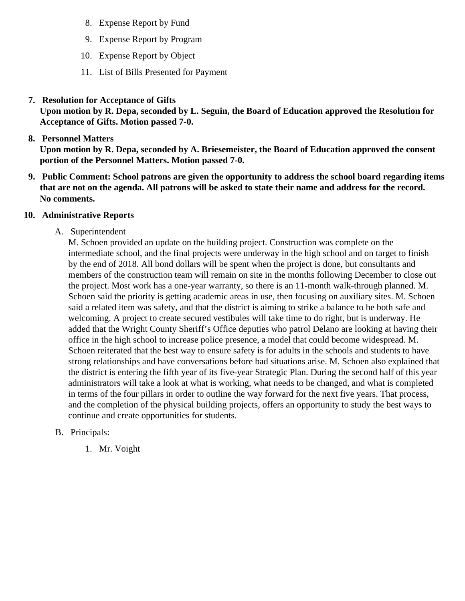- 8. [Expense Report by Fu](/./docs/district/Business_Office/Exp_by_Fund  Copy 1.pdf)nd
- 9. [Expense Report by Progra](/./docs/district/Business_Office/Exp_by_Program  Copy 1.pdf)m
- 10. [Expense Report by Obje](/./docs/district/Business_Office/Exp_by_Object  Copy 1.pdf)ct
- 11. [List of Bills Presented for Payme](/./docs/district/Business_Office/Monthly_Bills_Pd.pdf)nt
- 7. [Resolution for Acceptance of Gifts](/./docs/district/Business_Office/Resolution_for_Acceptance_of_Gif.18  Copy 1.pdf)

Upon motion by R. Depa, seconded by L. Seguin, the Board of Education approved the Resolution for Acceptance of Gifts. Motion passed 7-0.

8. [Personnel Matters](/./docs/district/HR/08_27.18 personnel.pdf)

Upon motion by R. Depa, seconded by A. Briesemeister, the Board of Education approved the consent portion of the Personnel Matters. Motion passed 7-0.

- 9. Public Comment: School patrons are given the opportunity to address the school board regarding items that are not on the agenda. All patrons will be asked to state their name and address for the record. No comments.
- 10. Administrative Reports
	- A. Superintendent

M. Schoen provided an update on the building project. Construction was complete on the intermediate school, and the final projects were underway in the high school and on target to finish by the end of 2018. All bond dollars will be spent when the project is done, but consultants and members of the construction team will remain on site in the months following December to close out the project. Most work has a one-year warranty, so there is an 11-month walk-through planned. M. Schoen said the priority is getting academic areas in use, then focusing on auxiliary sites. M. Scho said a related item was safety, and that the district is aiming to strike a balance to be both safe and welcoming. A project to create secured vestibules will take time to do right, but is underway. He added that the Wright County Sheriff's Office deputies who patrol Delano are looking at having their office in the high school to increase police presence, a model that could become widespread. M. Schoen reiterated that the best way to ensure safety is for adults in the schools and students to ha strong relationships and have conversations before bad situations arise. M. Schoen also explained the district is entering the fifth year of its five-year Strategic Plan. During the second half of this year administrators will take a look at what is working, what needs to be changed, and what is complete in terms of the four pillars in order to outline the way forward for the next five years. That process, and the completion of the physical building projects, offers an opportunity to study the best ways to continue and create opportunities for students.

- B. Principals:
	- 1. Mr. Voight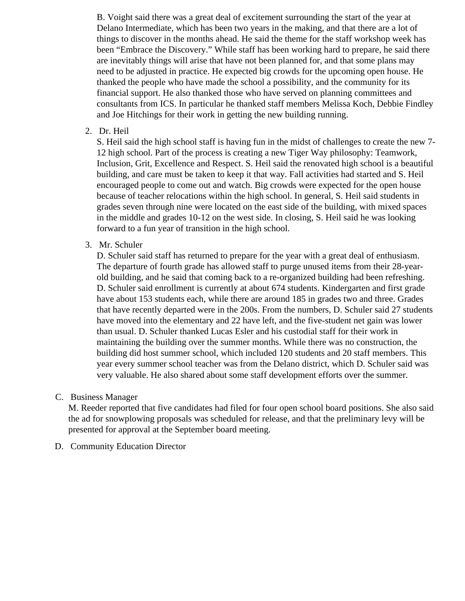B. Voight said there was a great deal of excitement surrounding the start of the year at Delano Intermediate, which has been two years in the making, and that there are a lot of things to discover in the months ahead. He said the theme for the staff workshop week has been "Embrace the Discovery." While staff has been working hard to prepare, he said there are inevitably things will arise that have not been planned for, and that some plans may need to be adjusted in practice. He expected big crowds for the upcoming open house. He thanked the people who have made the school a possibility, and the community for its financial support. He also thanked those who have served on planning committees and consultants from ICS. In particular he thanked staff members Melissa Koch, Debbie Findley and Joe Hitchings for their work in getting the new building running.

2. Dr. Heil

S. Heil said the high school staff is having fun in the midst of challenges to create the new 7- 12 high school. Part of the process is creating a new Tiger Way philosophy: Teamwork, Inclusion, Grit, Excellence and Respect. S. Heil said the renovated high school is a beautiful building, and care must be taken to keep it that way. Fall activities had started and S. Heil encouraged people to come out and watch. Big crowds were expected for the open house because of teacher relocations within the high school. In general, S. Heil said students in grades seven through nine were located on the east side of the building, with mixed spaces in the middle and grades 10-12 on the west side. In closing, S. Heil said he was looking forward to a fun year of transition in the high school.

3. Mr. Schuler

D. Schuler said staff has returned to prepare for the year with a great deal of enthusiasm. The departure of fourth grade has allowed staff to purge unused items from their 28-yearold building, and he said that coming back to a re-organized building had been refreshing. D. Schuler said enrollment is currently at about 674 students. Kindergarten and first grade have about 153 students each, while there are around 185 in grades two and three. Grades that have recently departed were in the 200s. From the numbers, D. Schuler said 27 students have moved into the elementary and 22 have left, and the five-student net gain was lower than usual. D. Schuler thanked Lucas Esler and his custodial staff for their work in maintaining the building over the summer months. While there was no construction, the building did host summer school, which included 120 students and 20 staff members. This year every summer school teacher was from the Delano district, which D. Schuler said was very valuable. He also shared about some staff development efforts over the summer.

#### C. Business Manager

M. Reeder reported that five candidates had filed for four open school board positions. She also said the ad for snowplowing proposals was scheduled for release, and that the preliminary levy will be presented for approval at the September board meeting.

D. Community Education Director